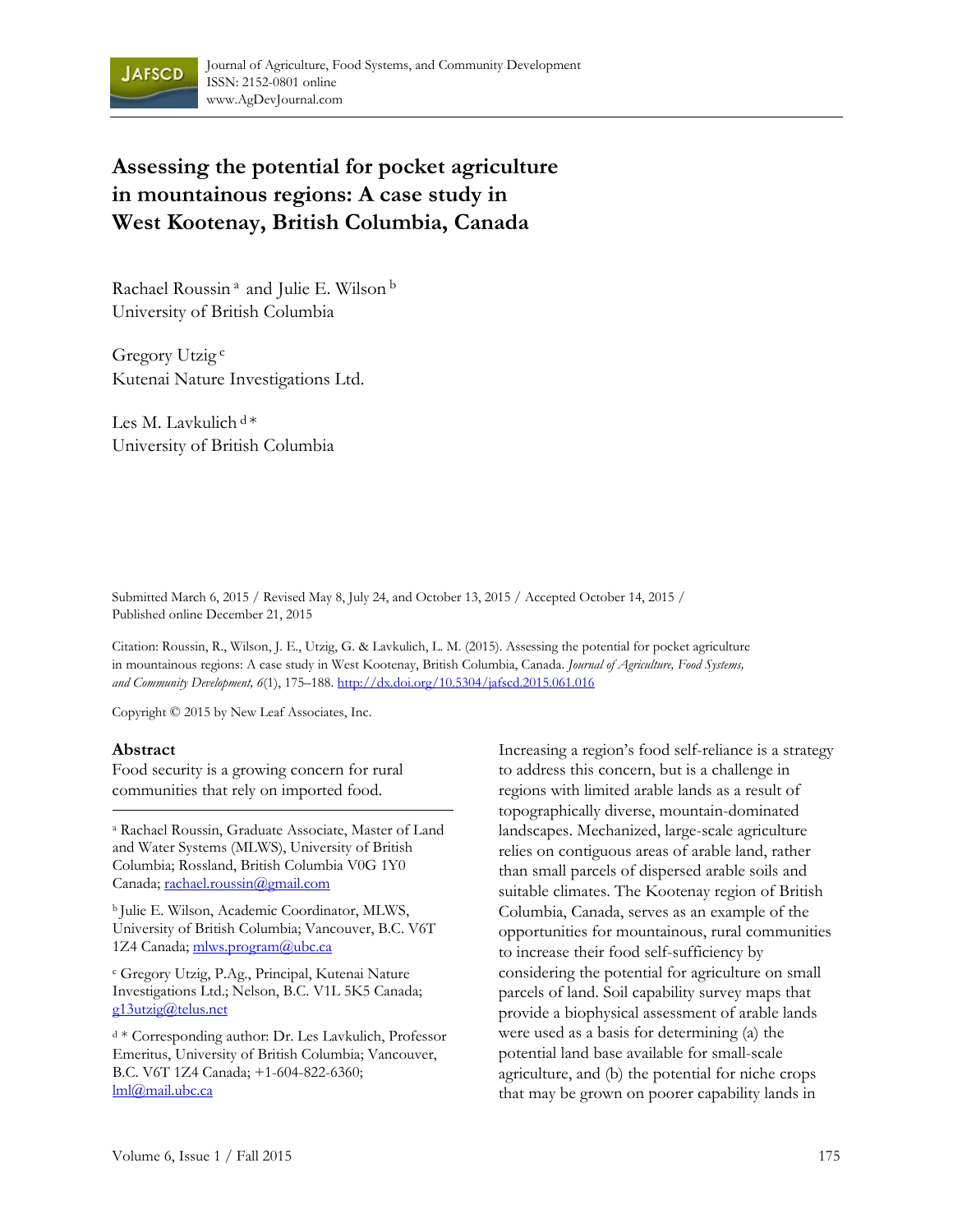

# **Assessing the potential for pocket agriculture in mountainous regions: A case study in West Kootenay, British Columbia, Canada**

Rachael Roussin<sup>a</sup> and Julie E. Wilson<sup>b</sup> University of British Columbia

Gregory Utzig<sup>c</sup> Kutenai Nature Investigations Ltd.

Les M. Lavkulich  $d^*$ University of British Columbia

Submitted March 6, 2015 / Revised May 8, July 24, and October 13, 2015 / Accepted October 14, 2015 / Published online December 21, 2015

Citation: Roussin, R., Wilson, J. E., Utzig, G. & Lavkulich, L. M. (2015). Assessing the potential for pocket agriculture in mountainous regions: A case study in West Kootenay, British Columbia, Canada. *Journal of Agriculture, Food Systems, and Community Development, 6*(1), 175–188. http://dx.doi.org/10.5304/jafscd.2015.061.016

Copyright © 2015 by New Leaf Associates, Inc.

#### **Abstract**

Food security is a growing concern for rural communities that rely on imported food.

a Rachael Roussin, Graduate Associate, Master of Land and Water Systems (MLWS), University of British Columbia; Rossland, British Columbia V0G 1Y0 Canada; rachael.roussin@gmail.com

b Julie E. Wilson, Academic Coordinator, MLWS, University of British Columbia; Vancouver, B.C. V6T 1Z4 Canada; mlws.program@ubc.ca

c Gregory Utzig, P.Ag., Principal, Kutenai Nature Investigations Ltd.; Nelson, B.C. V1L 5K5 Canada; g13utzig@telus.net

d \* Corresponding author: Dr. Les Lavkulich, Professor Emeritus, University of British Columbia; Vancouver, B.C. V6T 1Z4 Canada; +1-604-822-6360; lml@mail.ubc.ca

Increasing a region's food self-reliance is a strategy to address this concern, but is a challenge in regions with limited arable lands as a result of topographically diverse, mountain-dominated landscapes. Mechanized, large-scale agriculture relies on contiguous areas of arable land, rather than small parcels of dispersed arable soils and suitable climates. The Kootenay region of British Columbia, Canada, serves as an example of the opportunities for mountainous, rural communities to increase their food self-sufficiency by considering the potential for agriculture on small parcels of land. Soil capability survey maps that provide a biophysical assessment of arable lands were used as a basis for determining (a) the potential land base available for small-scale agriculture, and (b) the potential for niche crops that may be grown on poorer capability lands in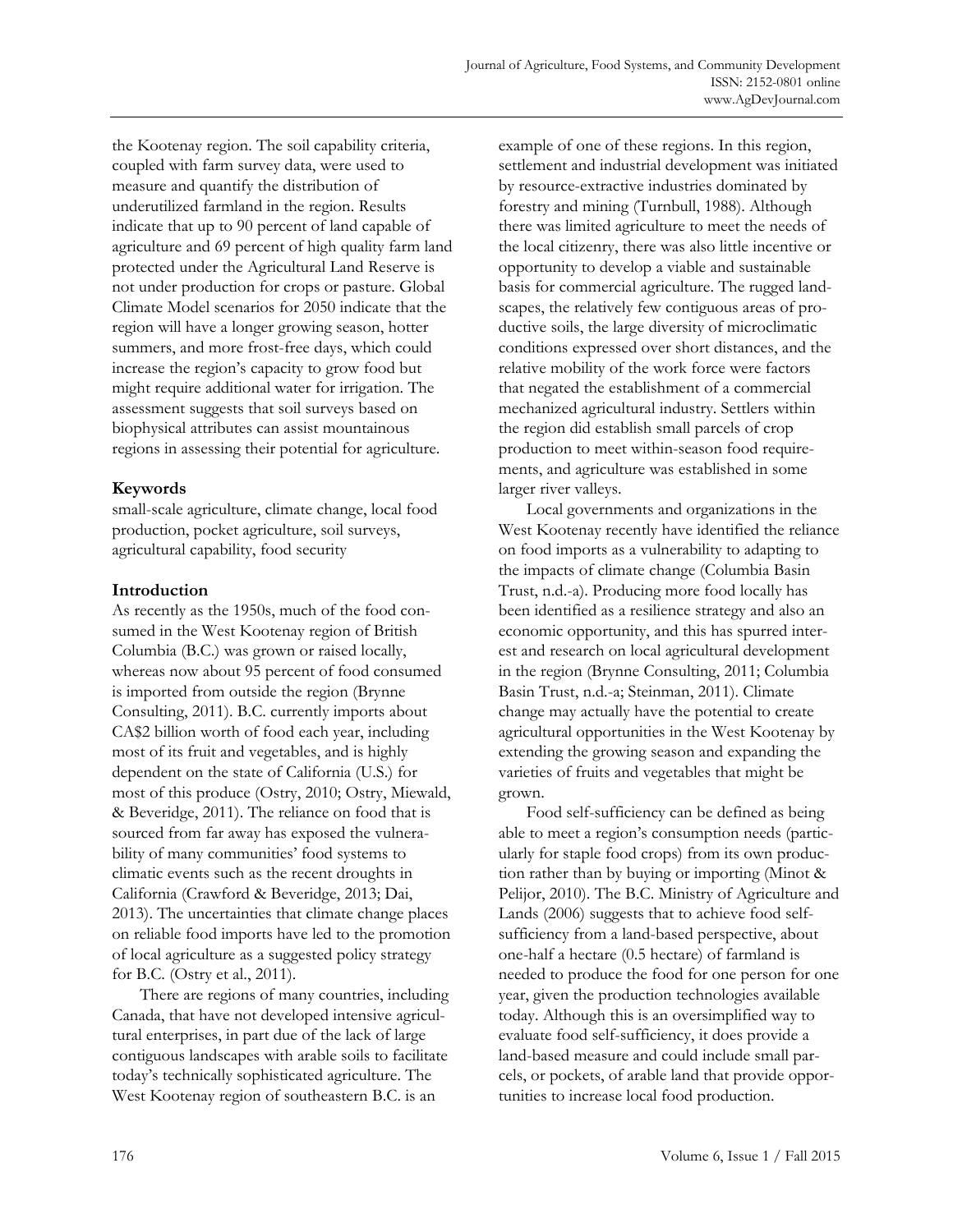the Kootenay region. The soil capability criteria, coupled with farm survey data, were used to measure and quantify the distribution of underutilized farmland in the region. Results indicate that up to 90 percent of land capable of agriculture and 69 percent of high quality farm land protected under the Agricultural Land Reserve is not under production for crops or pasture. Global Climate Model scenarios for 2050 indicate that the region will have a longer growing season, hotter summers, and more frost-free days, which could increase the region's capacity to grow food but might require additional water for irrigation. The assessment suggests that soil surveys based on biophysical attributes can assist mountainous regions in assessing their potential for agriculture.

## **Keywords**

small-scale agriculture, climate change, local food production, pocket agriculture, soil surveys, agricultural capability, food security

## **Introduction**

As recently as the 1950s, much of the food consumed in the West Kootenay region of British Columbia (B.C.) was grown or raised locally, whereas now about 95 percent of food consumed is imported from outside the region (Brynne Consulting, 2011). B.C. currently imports about CA\$2 billion worth of food each year, including most of its fruit and vegetables, and is highly dependent on the state of California (U.S.) for most of this produce (Ostry, 2010; Ostry, Miewald, & Beveridge, 2011). The reliance on food that is sourced from far away has exposed the vulnerability of many communities' food systems to climatic events such as the recent droughts in California (Crawford & Beveridge, 2013; Dai, 2013). The uncertainties that climate change places on reliable food imports have led to the promotion of local agriculture as a suggested policy strategy for B.C. (Ostry et al., 2011).

 There are regions of many countries, including Canada, that have not developed intensive agricultural enterprises, in part due of the lack of large contiguous landscapes with arable soils to facilitate today's technically sophisticated agriculture. The West Kootenay region of southeastern B.C. is an

example of one of these regions. In this region, settlement and industrial development was initiated by resource-extractive industries dominated by forestry and mining (Turnbull, 1988). Although there was limited agriculture to meet the needs of the local citizenry, there was also little incentive or opportunity to develop a viable and sustainable basis for commercial agriculture. The rugged landscapes, the relatively few contiguous areas of productive soils, the large diversity of microclimatic conditions expressed over short distances, and the relative mobility of the work force were factors that negated the establishment of a commercial mechanized agricultural industry. Settlers within the region did establish small parcels of crop production to meet within-season food requirements, and agriculture was established in some larger river valleys.

 Local governments and organizations in the West Kootenay recently have identified the reliance on food imports as a vulnerability to adapting to the impacts of climate change (Columbia Basin Trust, n.d.-a). Producing more food locally has been identified as a resilience strategy and also an economic opportunity, and this has spurred interest and research on local agricultural development in the region (Brynne Consulting, 2011; Columbia Basin Trust, n.d.-a; Steinman, 2011). Climate change may actually have the potential to create agricultural opportunities in the West Kootenay by extending the growing season and expanding the varieties of fruits and vegetables that might be grown.

 Food self-sufficiency can be defined as being able to meet a region's consumption needs (particularly for staple food crops) from its own production rather than by buying or importing (Minot & Pelijor, 2010). The B.C. Ministry of Agriculture and Lands (2006) suggests that to achieve food selfsufficiency from a land-based perspective, about one-half a hectare (0.5 hectare) of farmland is needed to produce the food for one person for one year, given the production technologies available today. Although this is an oversimplified way to evaluate food self-sufficiency, it does provide a land-based measure and could include small parcels, or pockets, of arable land that provide opportunities to increase local food production.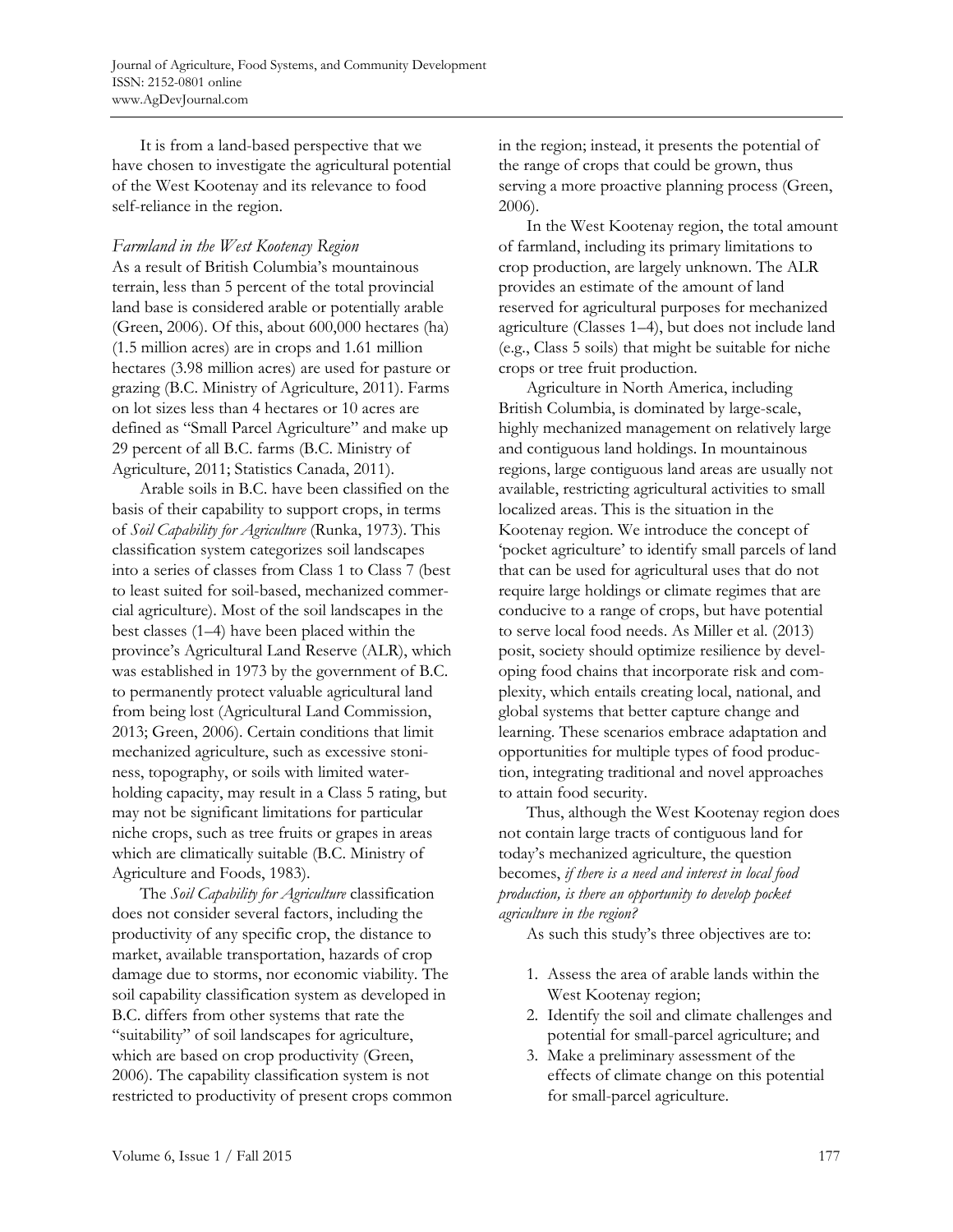It is from a land-based perspective that we have chosen to investigate the agricultural potential of the West Kootenay and its relevance to food self-reliance in the region.

#### *Farmland in the West Kootenay Region*

As a result of British Columbia's mountainous terrain, less than 5 percent of the total provincial land base is considered arable or potentially arable (Green, 2006). Of this, about 600,000 hectares (ha) (1.5 million acres) are in crops and 1.61 million hectares (3.98 million acres) are used for pasture or grazing (B.C. Ministry of Agriculture, 2011). Farms on lot sizes less than 4 hectares or 10 acres are defined as "Small Parcel Agriculture" and make up 29 percent of all B.C. farms (B.C. Ministry of Agriculture, 2011; Statistics Canada, 2011).

 Arable soils in B.C. have been classified on the basis of their capability to support crops, in terms of *Soil Capability for Agriculture* (Runka, 1973). This classification system categorizes soil landscapes into a series of classes from Class 1 to Class 7 (best to least suited for soil-based, mechanized commercial agriculture). Most of the soil landscapes in the best classes (1–4) have been placed within the province's Agricultural Land Reserve (ALR), which was established in 1973 by the government of B.C. to permanently protect valuable agricultural land from being lost (Agricultural Land Commission, 2013; Green, 2006). Certain conditions that limit mechanized agriculture, such as excessive stoniness, topography, or soils with limited waterholding capacity, may result in a Class 5 rating, but may not be significant limitations for particular niche crops, such as tree fruits or grapes in areas which are climatically suitable (B.C. Ministry of Agriculture and Foods, 1983).

 The *Soil Capability for Agriculture* classification does not consider several factors, including the productivity of any specific crop, the distance to market, available transportation, hazards of crop damage due to storms, nor economic viability. The soil capability classification system as developed in B.C. differs from other systems that rate the "suitability" of soil landscapes for agriculture, which are based on crop productivity (Green, 2006). The capability classification system is not restricted to productivity of present crops common in the region; instead, it presents the potential of the range of crops that could be grown, thus serving a more proactive planning process (Green, 2006).

 In the West Kootenay region, the total amount of farmland, including its primary limitations to crop production, are largely unknown. The ALR provides an estimate of the amount of land reserved for agricultural purposes for mechanized agriculture (Classes 1–4), but does not include land (e.g., Class 5 soils) that might be suitable for niche crops or tree fruit production.

 Agriculture in North America, including British Columbia, is dominated by large-scale, highly mechanized management on relatively large and contiguous land holdings. In mountainous regions, large contiguous land areas are usually not available, restricting agricultural activities to small localized areas. This is the situation in the Kootenay region. We introduce the concept of 'pocket agriculture' to identify small parcels of land that can be used for agricultural uses that do not require large holdings or climate regimes that are conducive to a range of crops, but have potential to serve local food needs. As Miller et al. (2013) posit, society should optimize resilience by developing food chains that incorporate risk and complexity, which entails creating local, national, and global systems that better capture change and learning. These scenarios embrace adaptation and opportunities for multiple types of food production, integrating traditional and novel approaches to attain food security.

 Thus, although the West Kootenay region does not contain large tracts of contiguous land for today's mechanized agriculture, the question becomes, *if there is a need and interest in local food production, is there an opportunity to develop pocket agriculture in the region?*

As such this study's three objectives are to:

- 1. Assess the area of arable lands within the West Kootenay region;
- 2. Identify the soil and climate challenges and potential for small-parcel agriculture; and
- 3. Make a preliminary assessment of the effects of climate change on this potential for small-parcel agriculture.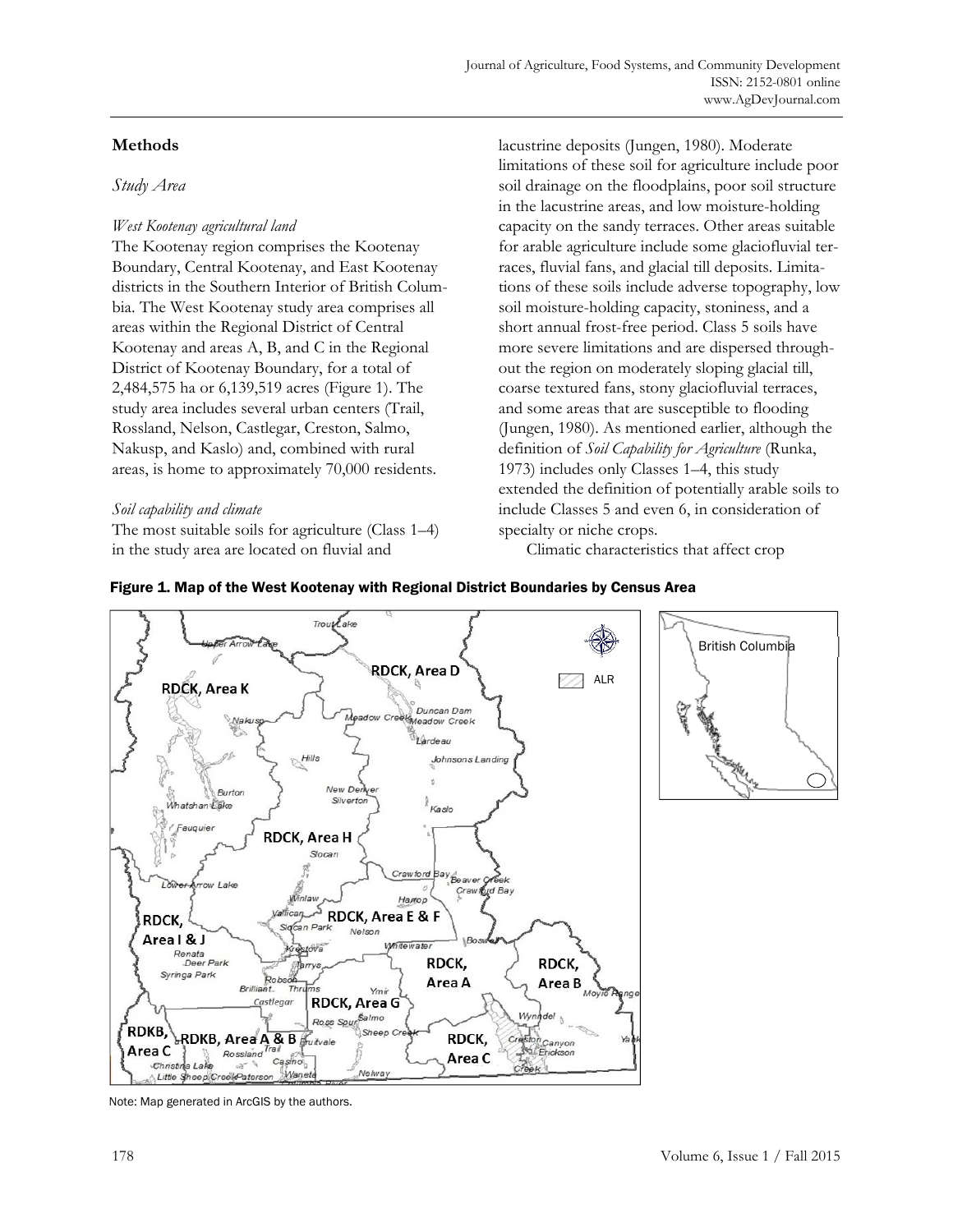# **Methods**

# *Study Area*

# *West Kootenay agricultural land*

The Kootenay region comprises the Kootenay Boundary, Central Kootenay, and East Kootenay districts in the Southern Interior of British Columbia. The West Kootenay study area comprises all areas within the Regional District of Central Kootenay and areas A, B, and C in the Regional District of Kootenay Boundary, for a total of 2,484,575 ha or 6,139,519 acres (Figure 1). The study area includes several urban centers (Trail, Rossland, Nelson, Castlegar, Creston, Salmo, Nakusp, and Kaslo) and, combined with rural areas, is home to approximately 70,000 residents.

# *Soil capability and climate*

The most suitable soils for agriculture (Class 1–4) in the study area are located on fluvial and

lacustrine deposits (Jungen, 1980). Moderate limitations of these soil for agriculture include poor soil drainage on the floodplains, poor soil structure in the lacustrine areas, and low moisture-holding capacity on the sandy terraces. Other areas suitable for arable agriculture include some glaciofluvial terraces, fluvial fans, and glacial till deposits. Limitations of these soils include adverse topography, low soil moisture-holding capacity, stoniness, and a short annual frost-free period. Class 5 soils have more severe limitations and are dispersed throughout the region on moderately sloping glacial till, coarse textured fans, stony glaciofluvial terraces, and some areas that are susceptible to flooding (Jungen, 1980). As mentioned earlier, although the definition of *Soil Capability for Agriculture* (Runka, 1973) includes only Classes 1–4, this study extended the definition of potentially arable soils to include Classes 5 and even 6, in consideration of specialty or niche crops.

Climatic characteristics that affect crop

## Figure 1. Map of the West Kootenay with Regional District Boundaries by Census Area



Note: Map generated in ArcGIS by the authors.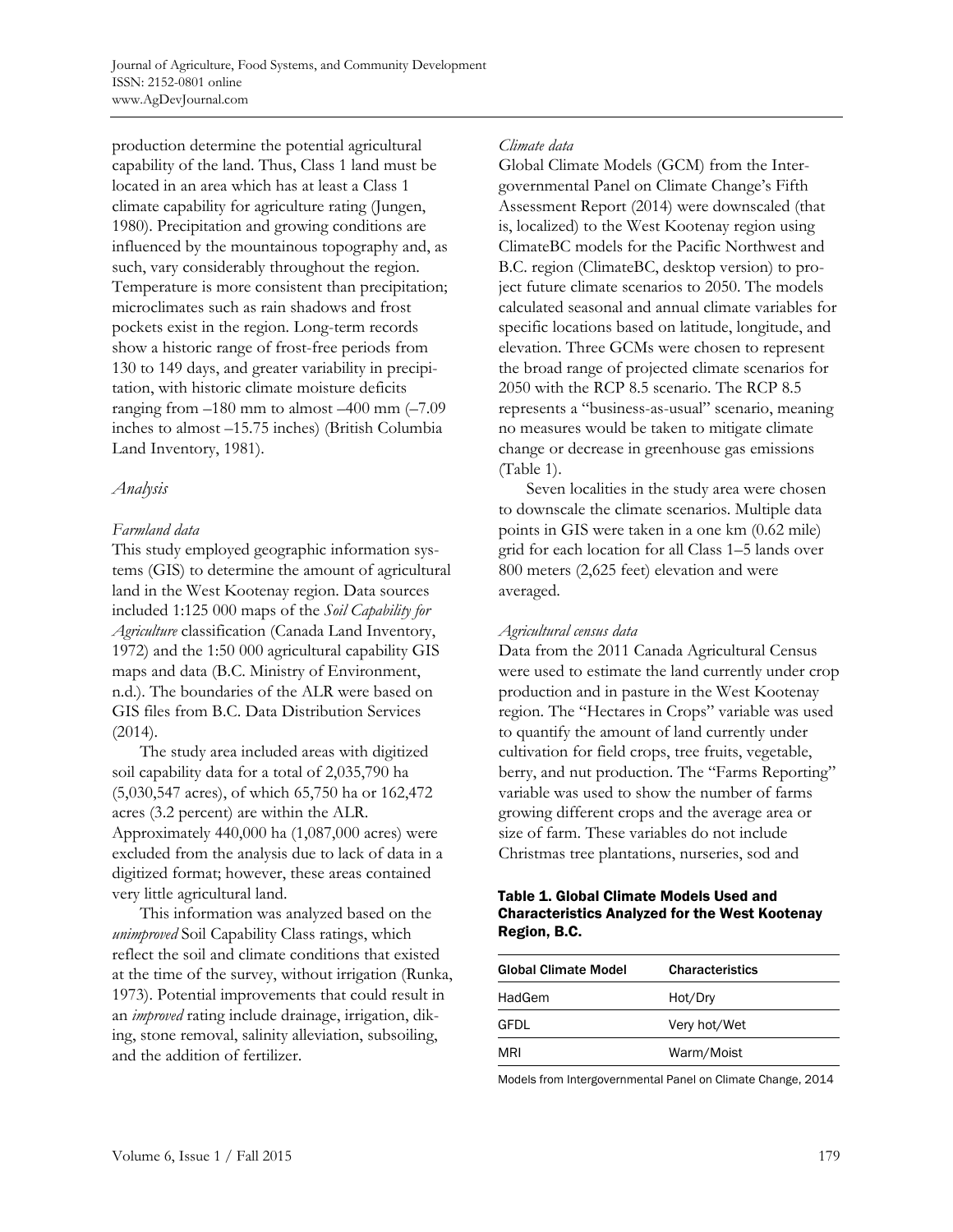production determine the potential agricultural capability of the land. Thus, Class 1 land must be located in an area which has at least a Class 1 climate capability for agriculture rating (Jungen, 1980). Precipitation and growing conditions are influenced by the mountainous topography and, as such, vary considerably throughout the region. Temperature is more consistent than precipitation; microclimates such as rain shadows and frost pockets exist in the region. Long-term records show a historic range of frost-free periods from 130 to 149 days, and greater variability in precipitation, with historic climate moisture deficits ranging from –180 mm to almost –400 mm (–7.09 inches to almost –15.75 inches) (British Columbia Land Inventory, 1981).

## *Analysis*

#### *Farmland data*

This study employed geographic information systems (GIS) to determine the amount of agricultural land in the West Kootenay region. Data sources included 1:125 000 maps of the *Soil Capability for Agriculture* classification (Canada Land Inventory, 1972) and the 1:50 000 agricultural capability GIS maps and data (B.C. Ministry of Environment, n.d.). The boundaries of the ALR were based on GIS files from B.C. Data Distribution Services (2014).

 The study area included areas with digitized soil capability data for a total of 2,035,790 ha (5,030,547 acres), of which 65,750 ha or 162,472 acres (3.2 percent) are within the ALR. Approximately 440,000 ha (1,087,000 acres) were excluded from the analysis due to lack of data in a digitized format; however, these areas contained very little agricultural land.

 This information was analyzed based on the *unimproved* Soil Capability Class ratings, which reflect the soil and climate conditions that existed at the time of the survey, without irrigation (Runka, 1973). Potential improvements that could result in an *improved* rating include drainage, irrigation, diking, stone removal, salinity alleviation, subsoiling, and the addition of fertilizer.

#### *Climate data*

Global Climate Models (GCM) from the Intergovernmental Panel on Climate Change's Fifth Assessment Report (2014) were downscaled (that is, localized) to the West Kootenay region using ClimateBC models for the Pacific Northwest and B.C. region (ClimateBC, desktop version) to project future climate scenarios to 2050. The models calculated seasonal and annual climate variables for specific locations based on latitude, longitude, and elevation. Three GCMs were chosen to represent the broad range of projected climate scenarios for 2050 with the RCP 8.5 scenario. The RCP 8.5 represents a "business-as-usual" scenario, meaning no measures would be taken to mitigate climate change or decrease in greenhouse gas emissions (Table 1).

 Seven localities in the study area were chosen to downscale the climate scenarios. Multiple data points in GIS were taken in a one km (0.62 mile) grid for each location for all Class 1–5 lands over 800 meters (2,625 feet) elevation and were averaged.

#### *Agricultural census data*

Data from the 2011 Canada Agricultural Census were used to estimate the land currently under crop production and in pasture in the West Kootenay region. The "Hectares in Crops" variable was used to quantify the amount of land currently under cultivation for field crops, tree fruits, vegetable, berry, and nut production. The "Farms Reporting" variable was used to show the number of farms growing different crops and the average area or size of farm. These variables do not include Christmas tree plantations, nurseries, sod and

#### Table 1. Global Climate Models Used and Characteristics Analyzed for the West Kootenay Region, B.C.

| Global Climate Model | <b>Characteristics</b> |
|----------------------|------------------------|
| HadGem               | Hot/Dry                |
| GFDL                 | Very hot/Wet           |
| MRI                  | Warm/Moist             |

Models from Intergovernmental Panel on Climate Change, 2014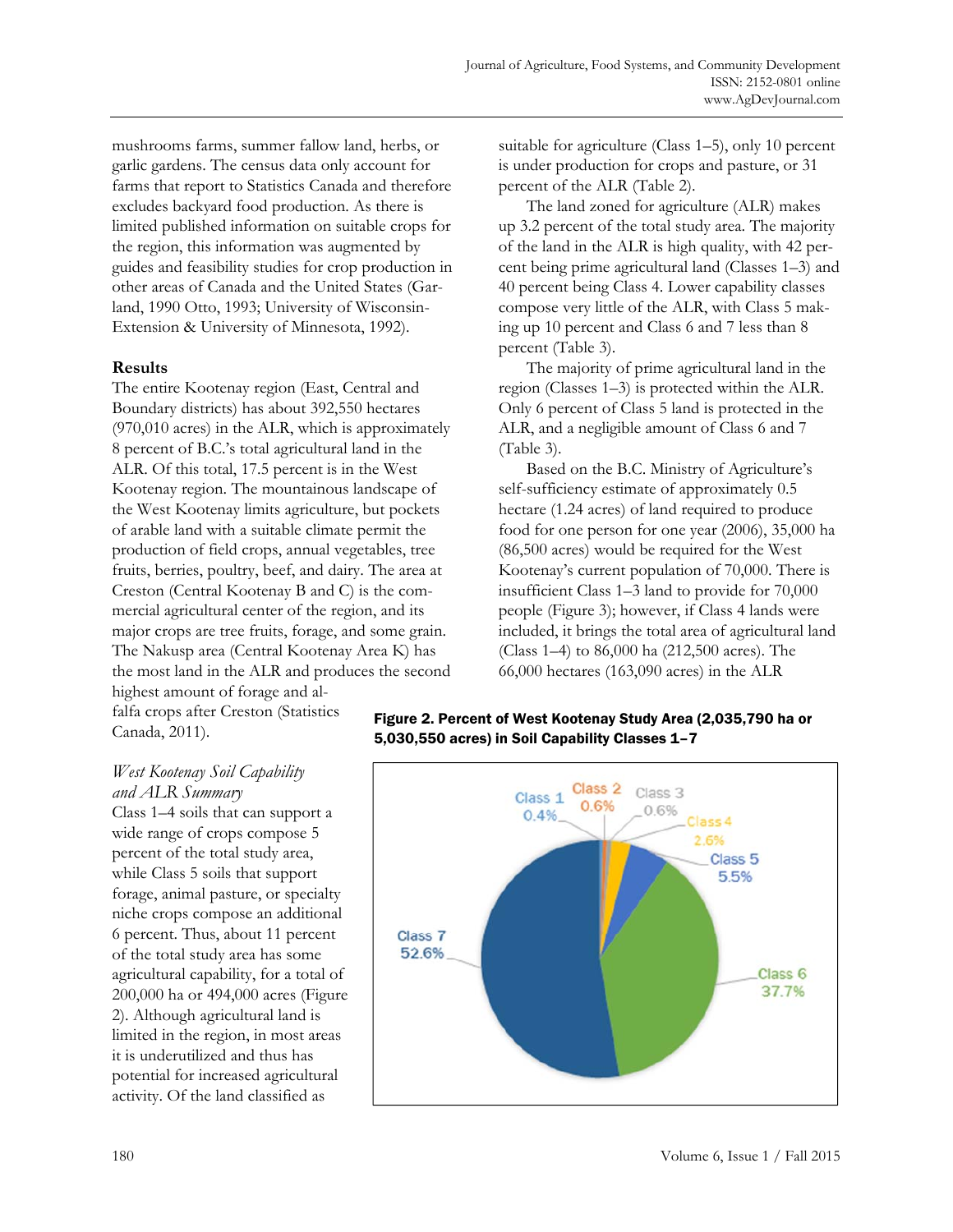mushrooms farms, summer fallow land, herbs, or garlic gardens. The census data only account for farms that report to Statistics Canada and therefore excludes backyard food production. As there is limited published information on suitable crops for the region, this information was augmented by guides and feasibility studies for crop production in other areas of Canada and the United States (Garland, 1990 Otto, 1993; University of Wisconsin-Extension & University of Minnesota, 1992).

## **Results**

The entire Kootenay region (East, Central and Boundary districts) has about 392,550 hectares (970,010 acres) in the ALR, which is approximately 8 percent of B.C.'s total agricultural land in the ALR. Of this total, 17.5 percent is in the West Kootenay region. The mountainous landscape of the West Kootenay limits agriculture, but pockets of arable land with a suitable climate permit the production of field crops, annual vegetables, tree fruits, berries, poultry, beef, and dairy. The area at Creston (Central Kootenay B and C) is the commercial agricultural center of the region, and its major crops are tree fruits, forage, and some grain. The Nakusp area (Central Kootenay Area K) has the most land in the ALR and produces the second highest amount of forage and al-

falfa crops after Creston (Statistics Canada, 2011).

suitable for agriculture (Class 1–5), only 10 percent is under production for crops and pasture, or 31 percent of the ALR (Table 2).

 The land zoned for agriculture (ALR) makes up 3.2 percent of the total study area. The majority of the land in the ALR is high quality, with 42 percent being prime agricultural land (Classes 1–3) and 40 percent being Class 4. Lower capability classes compose very little of the ALR, with Class 5 making up 10 percent and Class 6 and 7 less than 8 percent (Table 3).

 The majority of prime agricultural land in the region (Classes 1–3) is protected within the ALR. Only 6 percent of Class 5 land is protected in the ALR, and a negligible amount of Class 6 and 7 (Table 3).

 Based on the B.C. Ministry of Agriculture's self-sufficiency estimate of approximately 0.5 hectare (1.24 acres) of land required to produce food for one person for one year (2006), 35,000 ha (86,500 acres) would be required for the West Kootenay's current population of 70,000. There is insufficient Class 1–3 land to provide for 70,000 people (Figure 3); however, if Class 4 lands were included, it brings the total area of agricultural land (Class 1–4) to 86,000 ha (212,500 acres). The 66,000 hectares (163,090 acres) in the ALR

## Figure 2. Percent of West Kootenay Study Area (2,035,790 ha or 5,030,550 acres) in Soil Capability Classes 1–7



## *West Kootenay Soil Capability*

*and ALR Summary*  Class 1–4 soils that can support a wide range of crops compose 5 percent of the total study area, while Class 5 soils that support forage, animal pasture, or specialty niche crops compose an additional 6 percent. Thus, about 11 percent of the total study area has some agricultural capability, for a total of 200,000 ha or 494,000 acres (Figure 2). Although agricultural land is limited in the region, in most areas it is underutilized and thus has potential for increased agricultural activity. Of the land classified as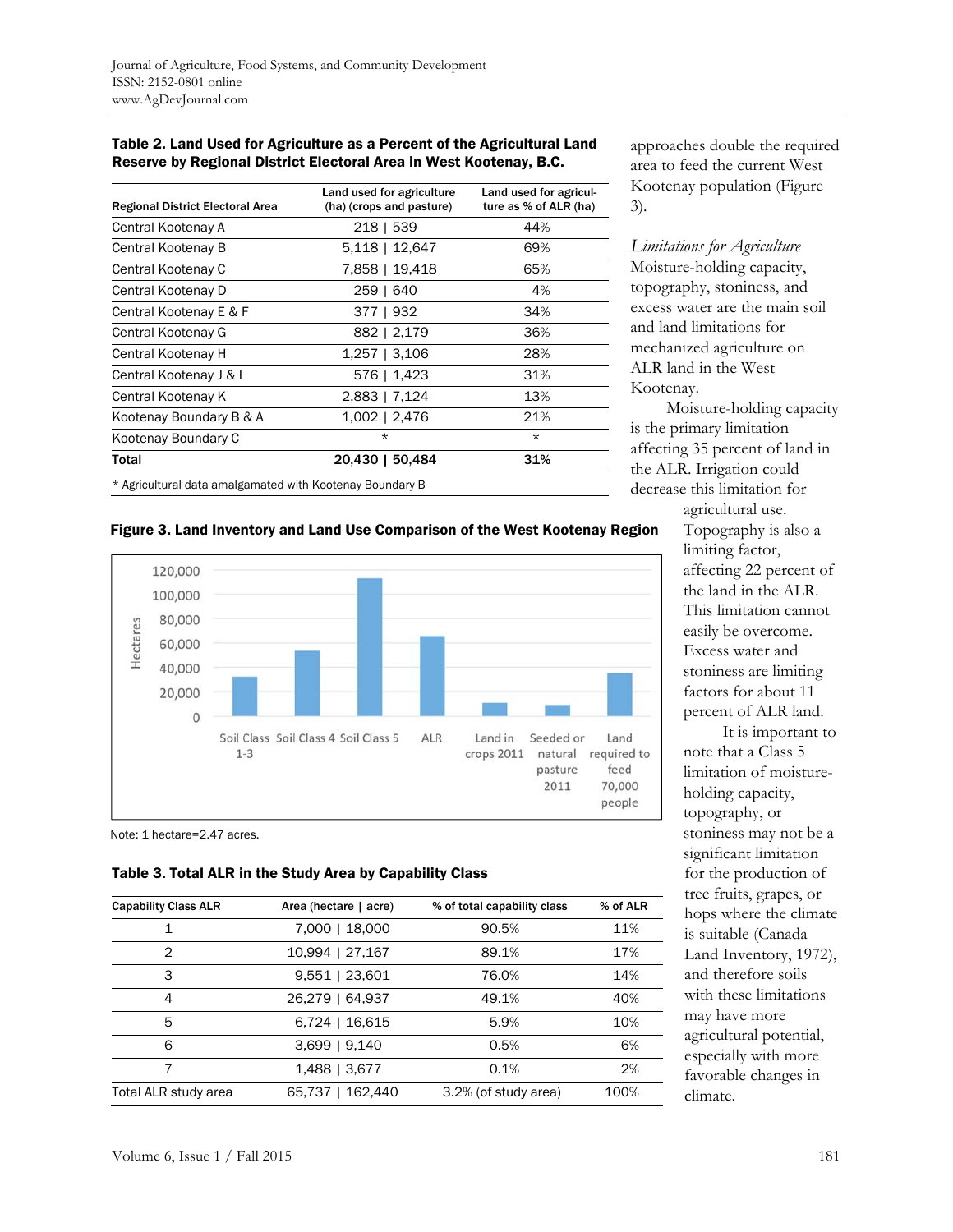| Table 2. Land Used for Agriculture as a Percent of the Agricultural Land |
|--------------------------------------------------------------------------|
| Reserve by Regional District Electoral Area in West Kootenay, B.C.       |

| <b>Regional District Electoral Area</b>                  | Land used for agriculture<br>(ha) (crops and pasture) | Land used for agricul-<br>ture as % of ALR (ha) |  |  |
|----------------------------------------------------------|-------------------------------------------------------|-------------------------------------------------|--|--|
| Central Kootenay A                                       | 218   539                                             | 44%                                             |  |  |
| Central Kootenay B                                       | 5,118   12,647                                        | 69%                                             |  |  |
| Central Kootenay C                                       | 7,858   19,418                                        | 65%                                             |  |  |
| Central Kootenay D                                       | 259   640                                             | 4%                                              |  |  |
| Central Kootenay E & F                                   | 377   932                                             | 34%                                             |  |  |
| Central Kootenay G                                       | 882   2,179                                           | 36%                                             |  |  |
| Central Kootenay H                                       | $1,257$   3,106                                       | 28%                                             |  |  |
| Central Kootenay J & I                                   | 576   1,423                                           | 31%                                             |  |  |
| Central Kootenay K                                       | 2,883   7,124                                         | 13%                                             |  |  |
| Kootenay Boundary B & A                                  | 1,002   2,476                                         | 21%                                             |  |  |
| Kootenay Boundary C                                      | $\star$                                               | $\star$                                         |  |  |
| Total                                                    | 20,430   50,484                                       | 31%                                             |  |  |
| * Agricultural data amalgamated with Kootenay Boundary B |                                                       |                                                 |  |  |

approaches double the required area to feed the current West Kootenay population (Figure 3).

*Limitations for Agriculture*  Moisture-holding capacity, topography, stoniness, and excess water are the main soil and land limitations for mechanized agriculture on ALR land in the West Kootenay.

 Moisture-holding capacity is the primary limitation affecting 35 percent of land in the ALR. Irrigation could decrease this limitation for agricultural use.

#### Figure 3. Land Inventory and Land Use Comparison of the West Kootenay Region



Note: 1 hectare=2.47 acres.

#### Table 3. Total ALR in the Study Area by Capability Class

| <b>Capability Class ALR</b> | Area (hectare   acre) | % of total capability class | % of ALR |
|-----------------------------|-----------------------|-----------------------------|----------|
|                             | 7,000   18,000        | 90.5%                       | 11%      |
| 2                           | 10,994   27,167       | 89.1%                       | 17%      |
| 3                           | $9,551$   23,601      | 76.0%                       | 14%      |
| 4                           | 26,279   64,937       | 49.1%                       | 40%      |
| 5                           | 6,724   16,615        | 5.9%                        | 10%      |
| 6                           | 3,699   9,140         | 0.5%                        | 6%       |
|                             | 1,488   3,677         | 0.1%                        | 2%       |
| Total ALR study area        | 65,737   162,440      | 3.2% (of study area)        | 100%     |

Topography is also a limiting factor, affecting 22 percent of the land in the ALR. This limitation cannot easily be overcome. Excess water and stoniness are limiting factors for about 11 percent of ALR land.

 It is important to note that a Class 5 limitation of moistureholding capacity, topography, or stoniness may not be a significant limitation for the production of tree fruits, grapes, or hops where the climate is suitable (Canada Land Inventory, 1972), and therefore soils with these limitations may have more agricultural potential, especially with more favorable changes in climate.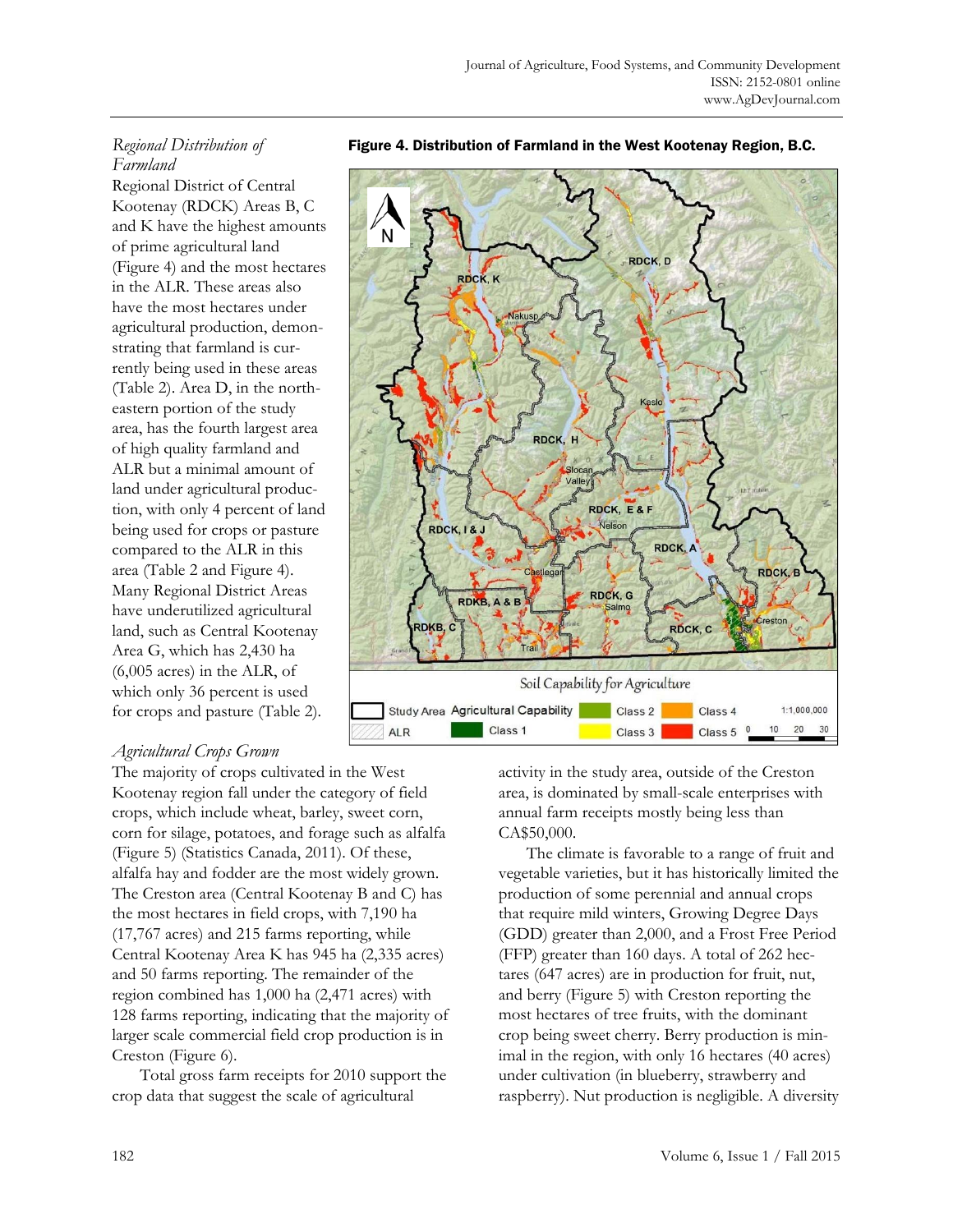# *Regional Distribution of Farmland*

Regional District of Central Kootenay (RDCK) Areas B, C and K have the highest amounts of prime agricultural land (Figure 4) and the most hectares in the ALR. These areas also have the most hectares under agricultural production, demonstrating that farmland is currently being used in these areas (Table 2). Area D, in the northeastern portion of the study area, has the fourth largest area of high quality farmland and ALR but a minimal amount of land under agricultural production, with only 4 percent of land being used for crops or pasture compared to the ALR in this area (Table 2 and Figure 4). Many Regional District Areas have underutilized agricultural land, such as Central Kootenay Area G, which has 2,430 ha (6,005 acres) in the ALR, of which only 36 percent is used for crops and pasture (Table 2).

# N **RDCK, D** RDCK, K RDCK, H Slocar Valley RDCK, E&F **RDCK, I & J** RDCK, A RDCK. RDCK, G RDKB, A & B reston RDKB, C RDCK, C Soil Capability for Agriculture Study Area Agricultural Capability Class 2 Class 4  $1:1,000,000$ Class 1  $20<sup>°</sup>$ **ALR** Class 3 Class 5

#### Figure 4. Distribution of Farmland in the West Kootenay Region, B.C.

#### *Agricultural Crops Grown*

The majority of crops cultivated in the West Kootenay region fall under the category of field crops, which include wheat, barley, sweet corn, corn for silage, potatoes, and forage such as alfalfa (Figure 5) (Statistics Canada, 2011). Of these, alfalfa hay and fodder are the most widely grown. The Creston area (Central Kootenay B and C) has the most hectares in field crops, with 7,190 ha (17,767 acres) and 215 farms reporting, while Central Kootenay Area K has 945 ha (2,335 acres) and 50 farms reporting. The remainder of the region combined has 1,000 ha (2,471 acres) with 128 farms reporting, indicating that the majority of larger scale commercial field crop production is in Creston (Figure 6).

 Total gross farm receipts for 2010 support the crop data that suggest the scale of agricultural

activity in the study area, outside of the Creston area, is dominated by small-scale enterprises with annual farm receipts mostly being less than CA\$50,000.

 The climate is favorable to a range of fruit and vegetable varieties, but it has historically limited the production of some perennial and annual crops that require mild winters, Growing Degree Days (GDD) greater than 2,000, and a Frost Free Period (FFP) greater than 160 days. A total of 262 hectares (647 acres) are in production for fruit, nut, and berry (Figure 5) with Creston reporting the most hectares of tree fruits, with the dominant crop being sweet cherry. Berry production is minimal in the region, with only 16 hectares (40 acres) under cultivation (in blueberry, strawberry and raspberry). Nut production is negligible. A diversity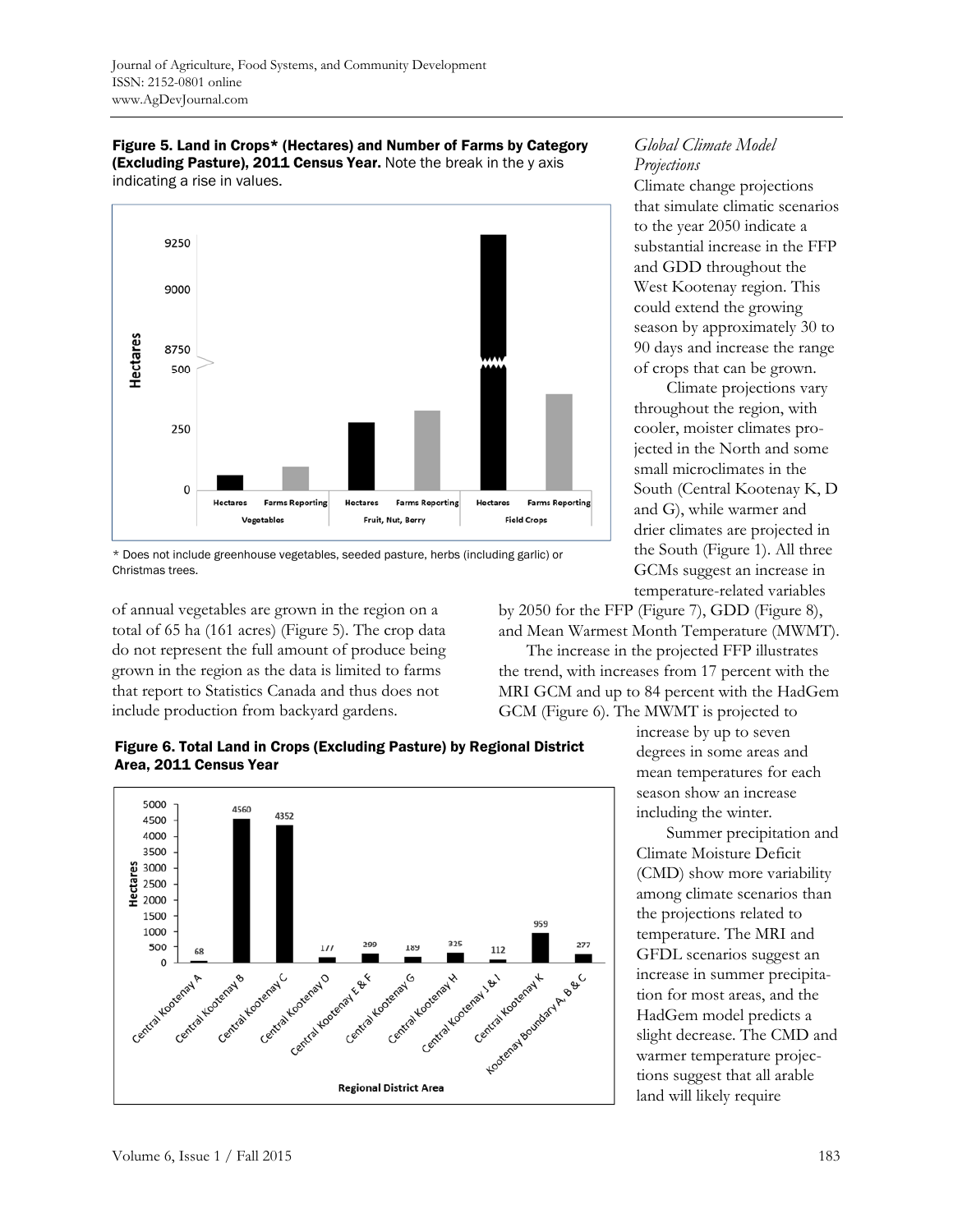





of annual vegetables are grown in the region on a total of 65 ha (161 acres) (Figure 5). The crop data do not represent the full amount of produce being grown in the region as the data is limited to farms that report to Statistics Canada and thus does not include production from backyard gardens.



Climate change projections that simulate climatic scenarios to the year 2050 indicate a substantial increase in the FFP and GDD throughout the West Kootenay region. This could extend the growing season by approximately 30 to 90 days and increase the range of crops that can be grown.

 Climate projections vary throughout the region, with cooler, moister climates projected in the North and some small microclimates in the South (Central Kootenay K, D and G), while warmer and drier climates are projected in the South (Figure 1). All three GCMs suggest an increase in temperature-related variables

by 2050 for the FFP (Figure 7), GDD (Figure 8), and Mean Warmest Month Temperature (MWMT).

 The increase in the projected FFP illustrates the trend, with increases from 17 percent with the MRI GCM and up to 84 percent with the HadGem GCM (Figure 6). The MWMT is projected to

Figure 6. Total Land in Crops (Excluding Pasture) by Regional District Area, 2011 Census Year



increase by up to seven degrees in some areas and mean temperatures for each season show an increase including the winter.

 Summer precipitation and Climate Moisture Deficit (CMD) show more variability among climate scenarios than the projections related to temperature. The MRI and GFDL scenarios suggest an increase in summer precipitation for most areas, and the HadGem model predicts a slight decrease. The CMD and warmer temperature projections suggest that all arable land will likely require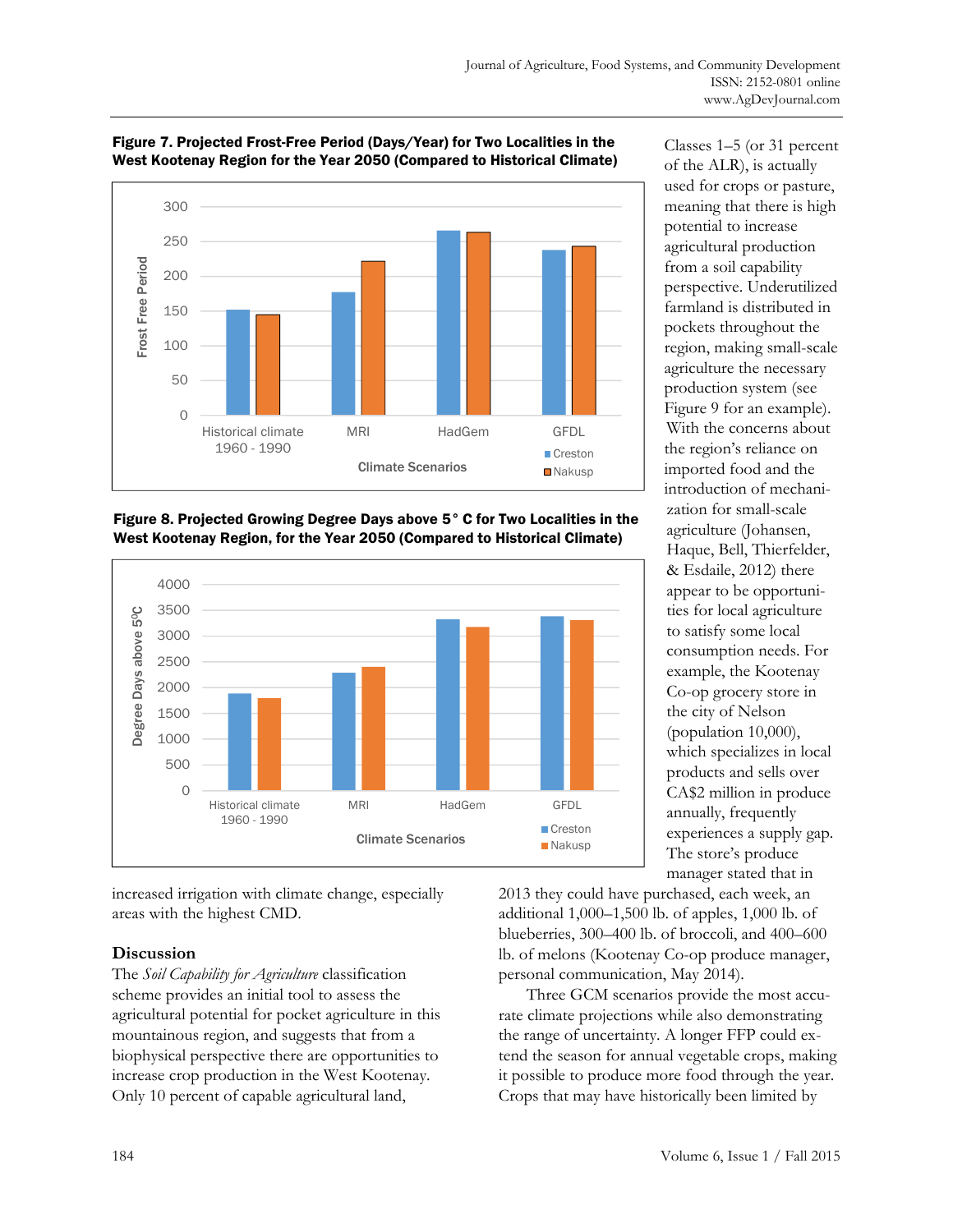

#### Figure 7. Projected Frost-Free Period (Days/Year) for Two Localities in the West Kootenay Region for the Year 2050 (Compared to Historical Climate)





increased irrigation with climate change, especially areas with the highest CMD.

## **Discussion**

The *Soil Capability for Agriculture* classification scheme provides an initial tool to assess the agricultural potential for pocket agriculture in this mountainous region, and suggests that from a biophysical perspective there are opportunities to increase crop production in the West Kootenay. Only 10 percent of capable agricultural land,

Classes 1–5 (or 31 percent of the ALR), is actually used for crops or pasture, meaning that there is high potential to increase agricultural production from a soil capability perspective. Underutilized farmland is distributed in pockets throughout the region, making small-scale agriculture the necessary production system (see Figure 9 for an example). With the concerns about the region's reliance on imported food and the introduction of mechanization for small-scale agriculture (Johansen, Haque, Bell, Thierfelder, & Esdaile, 2012) there appear to be opportunities for local agriculture to satisfy some local consumption needs. For example, the Kootenay Co-op grocery store in the city of Nelson (population 10,000), which specializes in local products and sells over CA\$2 million in produce annually, frequently experiences a supply gap. The store's produce

2013 they could have purchased, each week, an additional 1,000–1,500 lb. of apples, 1,000 lb. of blueberries, 300–400 lb. of broccoli, and 400–600 lb. of melons (Kootenay Co-op produce manager, personal communication, May 2014).

 Three GCM scenarios provide the most accurate climate projections while also demonstrating the range of uncertainty. A longer FFP could extend the season for annual vegetable crops, making it possible to produce more food through the year. Crops that may have historically been limited by

manager stated that in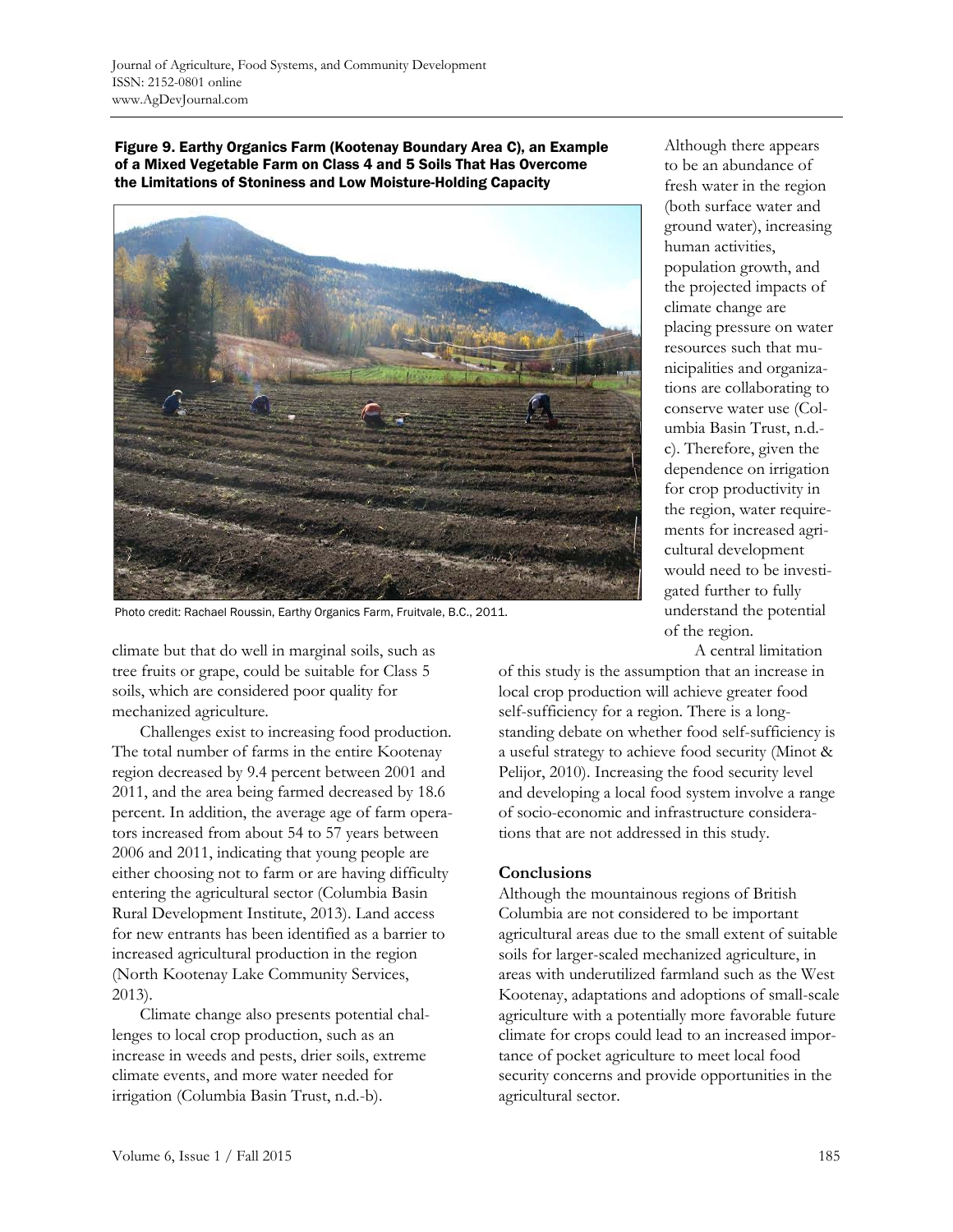Figure 9. Earthy Organics Farm (Kootenay Boundary Area C), an Example of a Mixed Vegetable Farm on Class 4 and 5 Soils That Has Overcome the Limitations of Stoniness and Low Moisture-Holding Capacity



Photo credit: Rachael Roussin, Earthy Organics Farm, Fruitvale, B.C., 2011.

climate but that do well in marginal soils, such as tree fruits or grape, could be suitable for Class 5 soils, which are considered poor quality for mechanized agriculture.

 Challenges exist to increasing food production. The total number of farms in the entire Kootenay region decreased by 9.4 percent between 2001 and 2011, and the area being farmed decreased by 18.6 percent. In addition, the average age of farm operators increased from about 54 to 57 years between 2006 and 2011, indicating that young people are either choosing not to farm or are having difficulty entering the agricultural sector (Columbia Basin Rural Development Institute, 2013). Land access for new entrants has been identified as a barrier to increased agricultural production in the region (North Kootenay Lake Community Services, 2013).

 Climate change also presents potential challenges to local crop production, such as an increase in weeds and pests, drier soils, extreme climate events, and more water needed for irrigation (Columbia Basin Trust, n.d.-b).

Although there appears to be an abundance of fresh water in the region (both surface water and ground water), increasing human activities, population growth, and the projected impacts of climate change are placing pressure on water resources such that municipalities and organizations are collaborating to conserve water use (Columbia Basin Trust, n.d. c). Therefore, given the dependence on irrigation for crop productivity in the region, water requirements for increased agricultural development would need to be investigated further to fully understand the potential of the region.

A central limitation

of this study is the assumption that an increase in local crop production will achieve greater food self-sufficiency for a region. There is a longstanding debate on whether food self-sufficiency is a useful strategy to achieve food security (Minot & Pelijor, 2010). Increasing the food security level and developing a local food system involve a range of socio-economic and infrastructure considerations that are not addressed in this study.

#### **Conclusions**

Although the mountainous regions of British Columbia are not considered to be important agricultural areas due to the small extent of suitable soils for larger-scaled mechanized agriculture, in areas with underutilized farmland such as the West Kootenay, adaptations and adoptions of small-scale agriculture with a potentially more favorable future climate for crops could lead to an increased importance of pocket agriculture to meet local food security concerns and provide opportunities in the agricultural sector.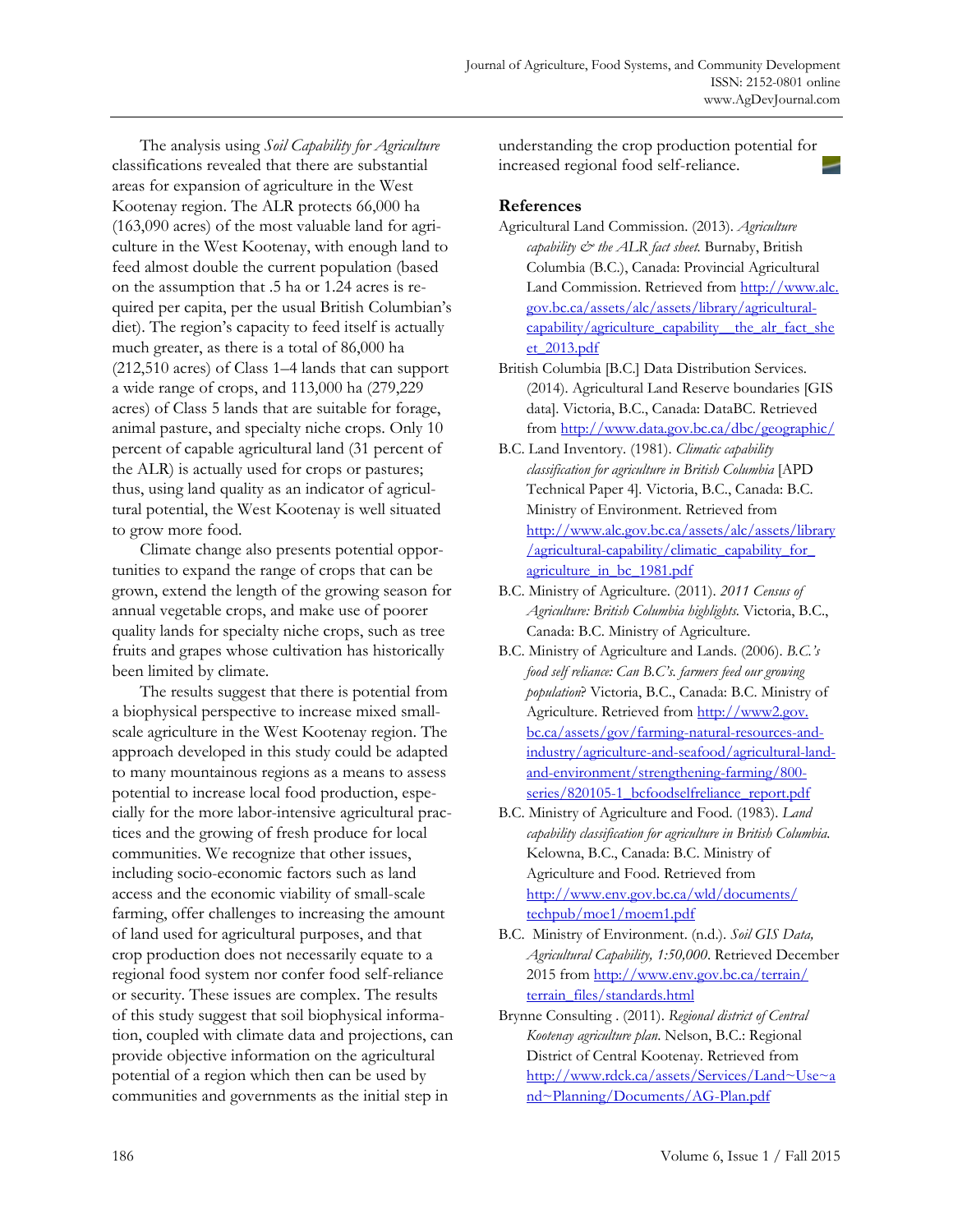The analysis using *Soil Capability for Agriculture* classifications revealed that there are substantial areas for expansion of agriculture in the West Kootenay region. The ALR protects 66,000 ha (163,090 acres) of the most valuable land for agriculture in the West Kootenay, with enough land to feed almost double the current population (based on the assumption that .5 ha or 1.24 acres is required per capita, per the usual British Columbian's diet). The region's capacity to feed itself is actually much greater, as there is a total of 86,000 ha (212,510 acres) of Class 1–4 lands that can support a wide range of crops, and 113,000 ha (279,229 acres) of Class 5 lands that are suitable for forage, animal pasture, and specialty niche crops. Only 10 percent of capable agricultural land (31 percent of the ALR) is actually used for crops or pastures; thus, using land quality as an indicator of agricultural potential, the West Kootenay is well situated to grow more food.

 Climate change also presents potential opportunities to expand the range of crops that can be grown, extend the length of the growing season for annual vegetable crops, and make use of poorer quality lands for specialty niche crops, such as tree fruits and grapes whose cultivation has historically been limited by climate.

 The results suggest that there is potential from a biophysical perspective to increase mixed smallscale agriculture in the West Kootenay region. The approach developed in this study could be adapted to many mountainous regions as a means to assess potential to increase local food production, especially for the more labor-intensive agricultural practices and the growing of fresh produce for local communities. We recognize that other issues, including socio-economic factors such as land access and the economic viability of small-scale farming, offer challenges to increasing the amount of land used for agricultural purposes, and that crop production does not necessarily equate to a regional food system nor confer food self-reliance or security. These issues are complex. The results of this study suggest that soil biophysical information, coupled with climate data and projections, can provide objective information on the agricultural potential of a region which then can be used by communities and governments as the initial step in

understanding the crop production potential for increased regional food self-reliance.

#### **References**

- Agricultural Land Commission. (2013). *Agriculture capability & the ALR fact sheet.* Burnaby, British Columbia (B.C.), Canada: Provincial Agricultural [Land Commission. Retrieved from http://www.alc.](http://www.alc.gov.bc.ca/assets/alc/assets/library/agricultural-capability/agriculture_capability__the_alr_fact_sheet_2013.pdf)  gov.bc.ca/assets/alc/assets/library/agriculturalcapability/agriculture\_capability\_\_the\_alr\_fact\_she et\_2013.pdf
- British Columbia [B.C.] Data Distribution Services. (2014). Agricultural Land Reserve boundaries [GIS data]. Victoria, B.C., Canada: DataBC. Retrieved from http://www.data.gov.bc.ca/dbc/geographic/
- B.C. Land Inventory. (1981). *Climatic capability classification for agriculture in British Columbia* [APD Technical Paper 4]*.* Victoria, B.C., Canada: B.C. Ministry of Environment. Retrieved from [http://www.alc.gov.bc.ca/assets/alc/assets/library](http://www.alc.gov.bc.ca/assets/alc/assets/library/agricultural-capability/climatic_capability_for_agriculture_in_bc_1981.pdf) /agricultural-capability/climatic\_capability\_for\_ agriculture\_in\_bc\_1981.pdf
- B.C. Ministry of Agriculture. (2011). *2011 Census of Agriculture: British Columbia highlights.* Victoria, B.C., Canada: B.C. Ministry of Agriculture.
- B.C. Ministry of Agriculture and Lands. (2006). *B.C.'s food self reliance: Can B.C's. farmers feed our growing population*? Victoria, B.C., Canada: B.C. Ministry of Agriculture. Retrieved from http://www2.gov. bc.ca/assets/gov/farming-natural-resources-and[industry/agriculture-and-seafood/agricultural-land](http://www2.gov.bc.ca/assets/gov/farming-natural-resources-and-industry/agriculture-and-seafood/agricultural-land-and-environment/strengthening-farming/800-series/820105-1_bcfoodselfreliance_report.pdf)and-environment/strengthening-farming/800 series/820105-1\_bcfoodselfreliance\_report.pdf
- B.C. Ministry of Agriculture and Food. (1983). *Land capability classification for agriculture in British Columbia.*  Kelowna, B.C., Canada: B.C. Ministry of Agriculture and Food. Retrieved from [http://www.env.gov.bc.ca/wld/documents/](http://www.env.gov.bc.ca/wld/documents/techpub/moe1/moem1.pdf)  techpub/moe1/moem1.pdf
- B.C. Ministry of Environment. (n.d.). *Soil GIS Data, Agricultural Capability, 1:50,000*. Retrieved December [2015 from http://www.env.gov.bc.ca/terrain/](http://www.env.gov.bc.ca/terrain/terrain_files/standards.html) terrain\_files/standards.html
- Brynne Consulting . (2011). *Regional district of Central Kootenay agriculture plan*. Nelson, B.C.: Regional District of Central Kootenay. Retrieved from [http://www.rdck.ca/assets/Services/Land~Use~a](http://www.rdck.ca/assets/Services/Land~Use~and~Planning/Documents/AG-Plan.pdf) nd~Planning/Documents/AG-Plan.pdf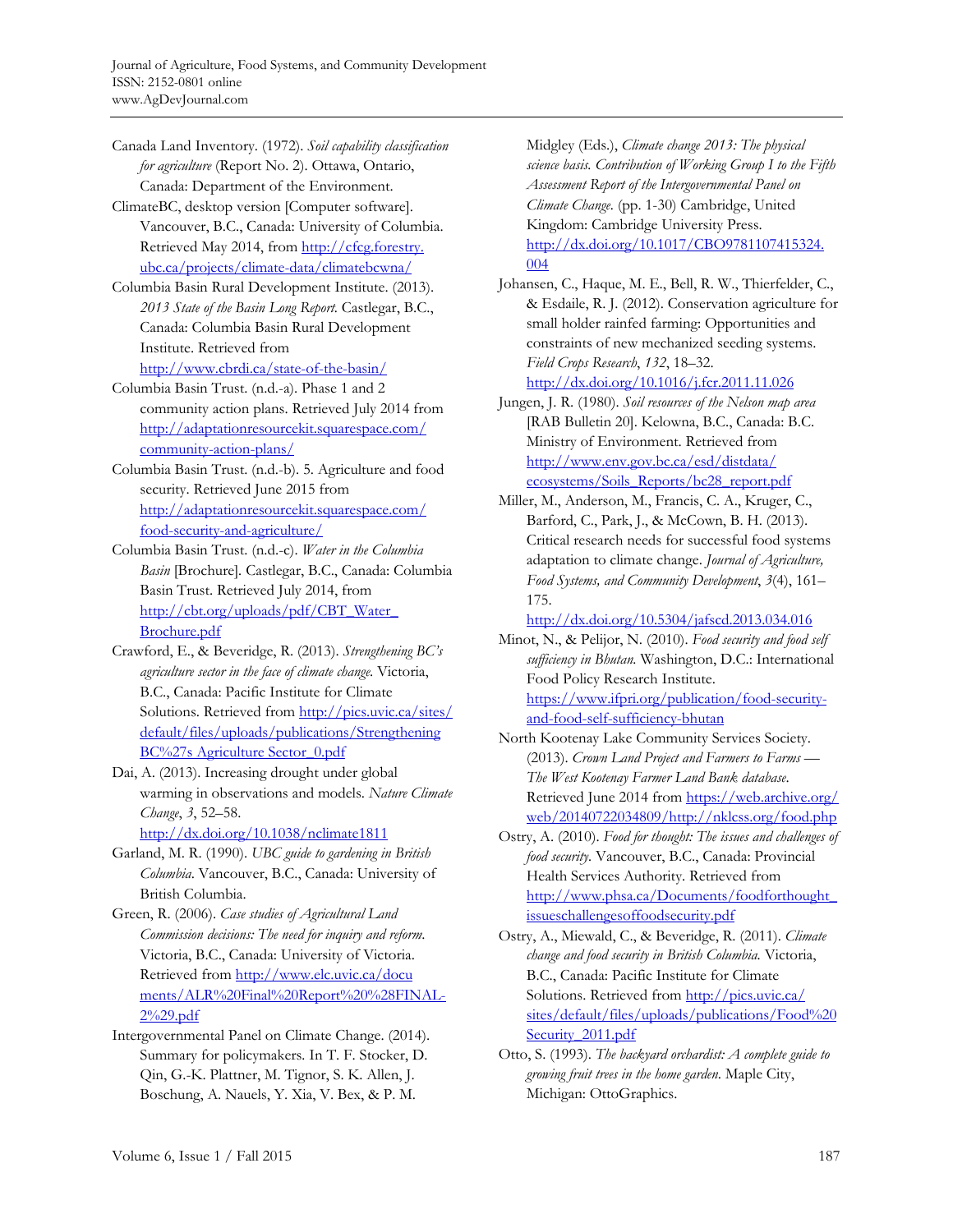Canada Land Inventory. (1972). *Soil capability classification for agriculture* (Report No. 2). Ottawa, Ontario, Canada: Department of the Environment.

- ClimateBC, desktop version [Computer software]. Vancouver, B.C., Canada: University of Columbia. [Retrieved May 2014, from http://cfcg.forestry.](http://cfcg.forestry.ubc.ca/projects/climate-data/climatebcwna/) ubc.ca/projects/climate-data/climatebcwna/
- Columbia Basin Rural Development Institute. (2013). *2013 State of the Basin Long Report.* Castlegar, B.C., Canada: Columbia Basin Rural Development Institute. Retrieved from

http://www.cbrdi.ca/state-of-the-basin/

Columbia Basin Trust. (n.d.-a). Phase 1 and 2 community action plans. Retrieved July 2014 from [http://adaptationresourcekit.squarespace.com/](http://adaptationresourcekit.squarespace.com/community-action-plans/) community-action-plans/

Columbia Basin Trust. (n.d.-b). 5. Agriculture and food security. Retrieved June 2015 from [http://adaptationresourcekit.squarespace.com/](http://adaptationresourcekit.squarespace.com/food-security-and-agriculture/) food-security-and-agriculture/

Columbia Basin Trust. (n.d.-c). *Water in the Columbia Basin* [Brochure]*.* Castlegar, B.C., Canada: Columbia Basin Trust. Retrieved July 2014, from [http://cbt.org/uploads/pdf/CBT\\_Water\\_](http://cbt.org/uploads/pdf/CBT_Water_Brochure.pdf)  Brochure.pdf

Crawford, E., & Beveridge, R. (2013). *Strengthening BC's agriculture sector in the face of climate change*. Victoria, B.C., Canada: Pacific Institute for Climate [Solutions. Retrieved from http://pics.uvic.ca/sites/](http://pics.uvic.ca/sites/default/files/uploads/publications/StrengtheningBC%27s AgricultureSector_0.pdf) default/files/uploads/publications/Strengthening BC%27s Agriculture Sector\_0.pdf

Dai, A. (2013). Increasing drought under global warming in observations and models. *Nature Climate Change*, *3*, 52–58. http://dx.doi.org/10.1038/nclimate1811

Garland, M. R. (1990). *UBC guide to gardening in British Columbia*. Vancouver, B.C., Canada: University of British Columbia.

Green, R. (2006). *Case studies of Agricultural Land Commission decisions: The need for inquiry and reform*. Victoria, B.C., Canada: University of Victoria. Retrieved from http://www.elc.uvic.ca/docu [ments/ALR%20Final%20Report%20%28FINAL-](http://www.elc.uvic.ca/documents/ALR%20Final%20Report%20%28FINAL-2%29.pdf)2%29.pdf

Intergovernmental Panel on Climate Change. (2014). Summary for policymakers*.* In T. F. Stocker, D. Qin, G.-K. Plattner, M. Tignor, S. K. Allen, J. Boschung, A. Nauels, Y. Xia, V. Bex, & P. M.

Midgley (Eds.), *Climate change 2013: The physical science basis. Contribution of Working Group I to the Fifth Assessment Report of the Intergovernmental Panel on Climate Change.* (pp. 1-30) Cambridge, United Kingdom: Cambridge University Press. [http://dx.doi.org/10.1017/CBO9781107415324.](http://dx.doi.org/10.1017/CBO9781107415324.004)  004

Johansen, C., Haque, M. E., Bell, R. W., Thierfelder, C., & Esdaile, R. J. (2012). Conservation agriculture for small holder rainfed farming: Opportunities and constraints of new mechanized seeding systems. *Field Crops Research*, *132*, 18–32.

http://dx.doi.org/10.1016/j.fcr.2011.11.026

Jungen, J. R. (1980). *Soil resources of the Nelson map area*  [RAB Bulletin 20]. Kelowna, B.C., Canada: B.C. Ministry of Environment. Retrieved from http://www.env.gov.bc.ca/esd/distdata/ [ecosystems/Soils\\_Reports/bc28\\_report.pdf](http://www.env.gov.bc.ca/esd/distdata/ecosystems/Soils_Reports/bc28_report.pdf) 

Miller, M., Anderson, M., Francis, C. A., Kruger, C., Barford, C., Park, J., & McCown, B. H. (2013). Critical research needs for successful food systems adaptation to climate change. *Journal of Agriculture, Food Systems, and Community Development*, *3*(4), 161– 175.

http://dx.doi.org/10.5304/jafscd.2013.034.016

Minot, N., & Pelijor, N. (2010). *Food security and food self sufficiency in Bhutan.* Washington, D.C.: International Food Policy Research Institute. https://www.ifpri.org/publication/food-securityand-food-self-sufficiency-bhutan

North Kootenay Lake Community Services Society. (2013). *Crown Land Project and Farmers to Farms — The West Kootenay Farmer Land Bank database*. [Retrieved June 2014 from https://web.archive.org/](https://web.archive.org/web/20140722034809/http://nklcss.org/food.php)  web/20140722034809/http://nklcss.org/food.php

Ostry, A. (2010). *Food for thought: The issues and challenges of food security.* Vancouver, B.C., Canada: Provincial Health Services Authority. Retrieved from [http://www.phsa.ca/Documents/foodforthought\\_](http://www.phsa.ca/Documents/foodforthought_issueschallengesoffoodsecurity.pdf) issueschallengesoffoodsecurity.pdf

- Ostry, A., Miewald, C., & Beveridge, R. (2011). *Climate change and food security in British Columbia.* Victoria, B.C., Canada: Pacific Institute for Climate Solutions. Retrieved from http://pics.uvic.ca/ [sites/default/files/uploads/publications/Food%20](http://pics.uvic.ca/sites/default/files/uploads/publications/Food%20Security_2011.pdf) Security 2011.pdf
- Otto, S. (1993). *The backyard orchardist: A complete guide to growing fruit trees in the home garden*. Maple City, Michigan: OttoGraphics.